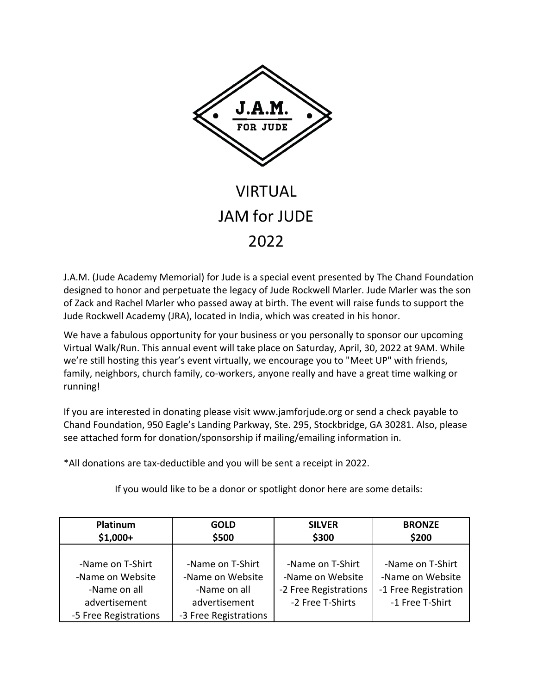

## VIRTUAL JAM for JUDE 2022

J.A.M. (Jude Academy Memorial) for Jude is a special event presented by The Chand Foundation designed to honor and perpetuate the legacy of Jude Rockwell Marler. Jude Marler was the son of Zack and Rachel Marler who passed away at birth. The event will raise funds to support the Jude Rockwell Academy (JRA), located in India, which was created in his honor.

We have a fabulous opportunity for your business or you personally to sponsor our upcoming Virtual Walk/Run. This annual event will take place on Saturday, April, 30, 2022 at 9AM. While we're still hosting this year's event virtually, we encourage you to "Meet UP" with friends, family, neighbors, church family, co-workers, anyone really and have a great time walking or running!

If you are interested in donating please visit www.jamforjude.org or send a check payable to Chand Foundation, 950 Eagle's Landing Parkway, Ste. 295, Stockbridge, GA 30281. Also, please see attached form for donation/sponsorship if mailing/emailing information in.

\*All donations are tax-deductible and you will be sent a receipt in 2022.

If you would like to be a donor or spotlight donor here are some details:

| Platinum<br>$$1,000+$ | <b>GOLD</b><br>\$500  | <b>SILVER</b><br>\$300 | <b>BRONZE</b><br>\$200 |  |
|-----------------------|-----------------------|------------------------|------------------------|--|
|                       |                       |                        |                        |  |
| -Name on T-Shirt      | -Name on T-Shirt      | -Name on T-Shirt       | -Name on T-Shirt       |  |
| -Name on Website      | -Name on Website      | -Name on Website       | -Name on Website       |  |
| -Name on all          | -Name on all          | -2 Free Registrations  | -1 Free Registration   |  |
| advertisement         | advertisement         | -2 Free T-Shirts       | -1 Free T-Shirt        |  |
| -5 Free Registrations | -3 Free Registrations |                        |                        |  |